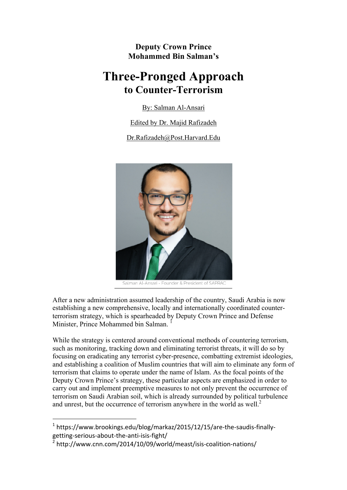**Deputy Crown Prince Mohammed Bin Salman's**

## **Three-Pronged Approach to Counter-Terrorism**

By: Salman Al-Ansari

Edited by Dr. Majid Rafizadeh

Dr.Rafizadeh@Post.Harvard.Edu



After a new administration assumed leadership of the country, Saudi Arabia is now establishing a new comprehensive, locally and internationally coordinated counterterrorism strategy, which is spearheaded by Deputy Crown Prince and Defense Minister, Prince Mohammed bin Salman. <sup>1</sup>

While the strategy is centered around conventional methods of countering terrorism, such as monitoring, tracking down and eliminating terrorist threats, it will do so by focusing on eradicating any terrorist cyber-presence, combatting extremist ideologies, and establishing a coalition of Muslim countries that will aim to eliminate any form of terrorism that claims to operate under the name of Islam. As the focal points of the Deputy Crown Prince's strategy, these particular aspects are emphasized in order to carry out and implement preemptive measures to not only prevent the occurrence of terrorism on Saudi Arabian soil, which is already surrounded by political turbulence and unrest, but the occurrence of terrorism anywhere in the world as well.<sup>2</sup>

<sup>&</sup>lt;sup>1</sup> https://www.brookings.edu/blog/markaz/2015/12/15/are-the-saudis-finallygetting-serious-about-the-anti-isis-fight/

<sup>&</sup>lt;sup>2</sup> http://www.cnn.com/2014/10/09/world/meast/isis-coalition-nations/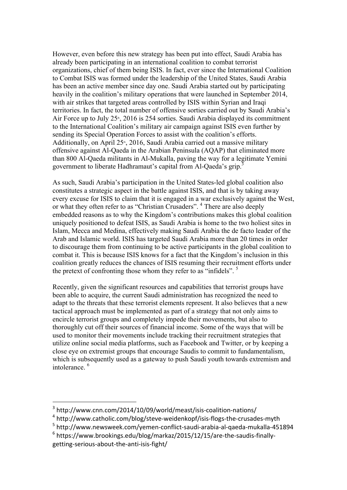However, even before this new strategy has been put into effect, Saudi Arabia has already been participating in an international coalition to combat terrorist organizations, chief of them being ISIS. In fact, ever since the International Coalition to Combat ISIS was formed under the leadership of the United States, Saudi Arabia has been an active member since day one. Saudi Arabia started out by participating heavily in the coalition's military operations that were launched in September 2014, with air strikes that targeted areas controlled by ISIS within Syrian and Iraqi territories. In fact, the total number of offensive sorties carried out by Saudi Arabia's Air Force up to July 25<sup>th</sup>, 2016 is 254 sorties. Saudi Arabia displayed its commitment to the International Coalition's military air campaign against ISIS even further by sending its Special Operation Forces to assist with the coalition's efforts. Additionally, on April 25<sup>th</sup>, 2016, Saudi Arabia carried out a massive military offensive against Al-Qaeda in the Arabian Peninsula (AQAP) that eliminated more than 800 Al-Qaeda militants in Al-Mukalla, paving the way for a legitimate Yemini government to liberate Hadhramaut's capital from Al-Qaeda's grip.<sup>3</sup>

As such, Saudi Arabia's participation in the United States-led global coalition also constitutes a strategic aspect in the battle against ISIS, and that is by taking away every excuse for ISIS to claim that it is engaged in a war exclusively against the West, or what they often refer to as "Christian Crusaders". <sup>4</sup> There are also deeply embedded reasons as to why the Kingdom's contributions makes this global coalition uniquely positioned to defeat ISIS, as Saudi Arabia is home to the two holiest sites in Islam, Mecca and Medina, effectively making Saudi Arabia the de facto leader of the Arab and Islamic world. ISIS has targeted Saudi Arabia more than 20 times in order to discourage them from continuing to be active participants in the global coalition to combat it. This is because ISIS knows for a fact that the Kingdom's inclusion in this coalition greatly reduces the chances of ISIS resuming their recruitment efforts under the pretext of confronting those whom they refer to as "infidels". <sup>5</sup>

Recently, given the significant resources and capabilities that terrorist groups have been able to acquire, the current Saudi administration has recognized the need to adapt to the threats that these terrorist elements represent. It also believes that a new tactical approach must be implemented as part of a strategy that not only aims to encircle terrorist groups and completely impede their movements, but also to thoroughly cut off their sources of financial income. Some of the ways that will be used to monitor their movements include tracking their recruitment strategies that utilize online social media platforms, such as Facebook and Twitter, or by keeping a close eye on extremist groups that encourage Saudis to commit to fundamentalism, which is subsequently used as a gateway to push Saudi youth towards extremism and intolerance. <sup>6</sup>

<sup>3</sup> http://www.cnn.com/2014/10/09/world/meast/isis-coalition-nations/

<sup>4</sup> http://www.catholic.com/blog/steve-weidenkopf/isis-flogs-the-crusades-myth

<sup>5</sup> http://www.newsweek.com/yemen-conflict-saudi-arabia-al-qaeda-mukalla-451894

 $6$  https://www.brookings.edu/blog/markaz/2015/12/15/are-the-saudis-finallygetting-serious-about-the-anti-isis-fight/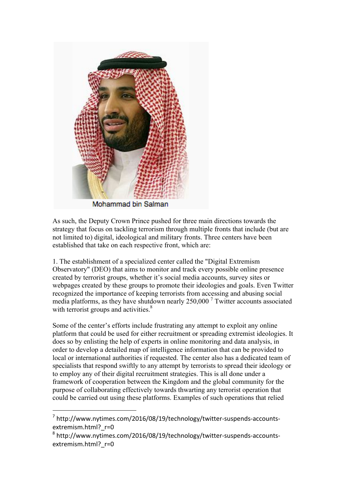

As such, the Deputy Crown Prince pushed for three main directions towards the strategy that focus on tackling terrorism through multiple fronts that include (but are not limited to) digital, ideological and military fronts. Three centers have been established that take on each respective front, which are:

1. The establishment of a specialized center called the "Digital Extremism Observatory" (DEO) that aims to monitor and track every possible online presence created by terrorist groups, whether it's social media accounts, survey sites or webpages created by these groups to promote their ideologies and goals. Even Twitter recognized the importance of keeping terrorists from accessing and abusing social media platforms, as they have shutdown nearly 250,000 <sup>7</sup> Twitter accounts associated with terrorist groups and activities.<sup>8</sup>

Some of the center's efforts include frustrating any attempt to exploit any online platform that could be used for either recruitment or spreading extremist ideologies. It does so by enlisting the help of experts in online monitoring and data analysis, in order to develop a detailed map of intelligence information that can be provided to local or international authorities if requested. The center also has a dedicated team of specialists that respond swiftly to any attempt by terrorists to spread their ideology or to employ any of their digital recruitment strategies. This is all done under a framework of cooperation between the Kingdom and the global community for the purpose of collaborating effectively towards thwarting any terrorist operation that could be carried out using these platforms. Examples of such operations that relied

 $7$  http://www.nytimes.com/2016/08/19/technology/twitter-suspends-accountsextremism.html? r=0

 $8$  http://www.nytimes.com/2016/08/19/technology/twitter-suspends-accountsextremism.html? r=0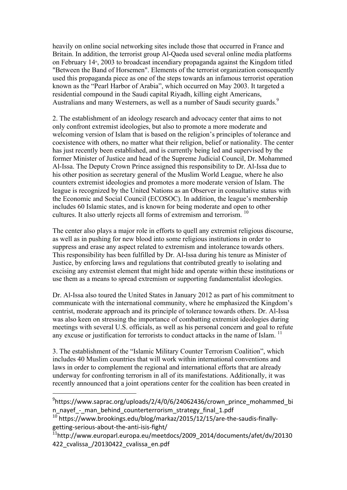heavily on online social networking sites include those that occurred in France and Britain. In addition, the terrorist group Al-Qaeda used several online media platforms on February 14<sup>th</sup>, 2003 to broadcast incendiary propaganda against the Kingdom titled "Between the Band of Horsemen". Elements of the terrorist organization consequently used this propaganda piece as one of the steps towards an infamous terrorist operation known as the "Pearl Harbor of Arabia", which occurred on May 2003. It targeted a residential compound in the Saudi capital Riyadh, killing eight Americans, Australians and many Westerners, as well as a number of Saudi security guards.<sup>9</sup>

2. The establishment of an ideology research and advocacy center that aims to not only confront extremist ideologies, but also to promote a more moderate and welcoming version of Islam that is based on the religion's principles of tolerance and coexistence with others, no matter what their religion, belief or nationality. The center has just recently been established, and is currently being led and supervised by the former Minister of Justice and head of the Supreme Judicial Council, Dr. Mohammed Al-Issa. The Deputy Crown Prince assigned this responsibility to Dr. Al-Issa due to his other position as secretary general of the Muslim World League, where he also counters extremist ideologies and promotes a more moderate version of Islam. The league is recognized by the United Nations as an Observer in consultative status with the Economic and Social Council (ECOSOC). In addition, the league's membership includes 60 Islamic states, and is known for being moderate and open to other cultures. It also utterly rejects all forms of extremism and terrorism. <sup>10</sup>

The center also plays a major role in efforts to quell any extremist religious discourse, as well as in pushing for new blood into some religious institutions in order to suppress and erase any aspect related to extremism and intolerance towards others. This responsibility has been fulfilled by Dr. Al-Issa during his tenure as Minister of Justice, by enforcing laws and regulations that contributed greatly to isolating and excising any extremist element that might hide and operate within these institutions or use them as a means to spread extremism or supporting fundamentalist ideologies.

Dr. Al-Issa also toured the United States in January 2012 as part of his commitment to communicate with the international community, where he emphasized the Kingdom's centrist, moderate approach and its principle of tolerance towards others. Dr. Al-Issa was also keen on stressing the importance of combatting extremist ideologies during meetings with several U.S. officials, as well as his personal concern and goal to refute any excuse or justification for terrorists to conduct attacks in the name of Islam.<sup>11</sup>

3. The establishment of the "Islamic Military Counter Terrorism Coalition", which includes 40 Muslim countries that will work within international conventions and laws in order to complement the regional and international efforts that are already underway for confronting terrorism in all of its manifestations. Additionally, it was recently announced that a joint operations center for the coalition has been created in

<sup>&</sup>lt;sup>9</sup>https://www.saprac.org/uploads/2/4/0/6/24062436/crown\_prince\_mohammed\_bi n\_nayef - man\_behind\_counterterrorism\_strategy\_final\_1.pdf

 $^{10}$ https://www.brookings.edu/blog/markaz/2015/12/15/are-the-saudis-finallygetting-serious-about-the-anti-isis-fight/

 $11$ http://www.europarl.europa.eu/meetdocs/2009\_2014/documents/afet/dv/20130 422\_cvalissa\_/20130422\_cvalissa\_en.pdf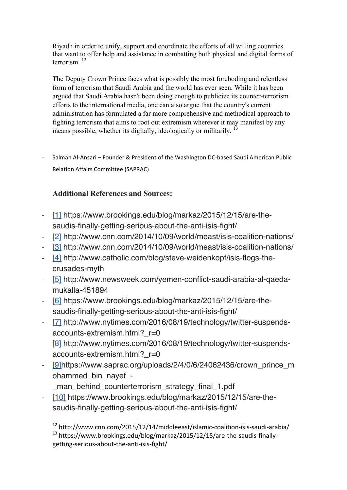Riyadh in order to unify, support and coordinate the efforts of all willing countries that want to offer help and assistance in combatting both physical and digital forms of terrorism<sup>12</sup>

The Deputy Crown Prince faces what is possibly the most foreboding and relentless form of terrorism that Saudi Arabia and the world has ever seen. While it has been argued that Saudi Arabia hasn't been doing enough to publicize its counter-terrorism efforts to the international media, one can also argue that the country's current administration has formulated a far more comprehensive and methodical approach to fighting terrorism that aims to root out extremism wherever it may manifest by any means possible, whether its digitally, ideologically or militarily.  $^{13}$ 

Salman Al-Ansari – Founder & President of the Washington DC-based Saudi American Public Relation Affairs Committee (SAPRAC)

## **Additional References and Sources:**

- [1] https://www.brookings.edu/blog/markaz/2015/12/15/are-thesaudis-finally-getting-serious-about-the-anti-isis-fight/
- [2] http://www.cnn.com/2014/10/09/world/meast/isis-coalition-nations/
- [3] http://www.cnn.com/2014/10/09/world/meast/isis-coalition-nations/
- [4] http://www.catholic.com/blog/steve-weidenkopf/isis-flogs-thecrusades-myth
- [5] http://www.newsweek.com/yemen-conflict-saudi-arabia-al-qaedamukalla-451894
- [6] https://www.brookings.edu/blog/markaz/2015/12/15/are-thesaudis-finally-getting-serious-about-the-anti-isis-fight/
- [7] http://www.nytimes.com/2016/08/19/technology/twitter-suspendsaccounts-extremism.html? r=0
- [8] http://www.nytimes.com/2016/08/19/technology/twitter-suspendsaccounts-extremism.html? r=0
- [9]https://www.saprac.org/uploads/2/4/0/6/24062436/crown\_prince\_m ohammed\_bin\_nayef\_-

\_man\_behind\_counterterrorism\_strategy\_final\_1.pdf

<u> 1989 - Johann Stein, fransk politik (d. 1989)</u>

- [10] https://www.brookings.edu/blog/markaz/2015/12/15/are-thesaudis-finally-getting-serious-about-the-anti-isis-fight/

<sup>&</sup>lt;sup>12</sup> http://www.cnn.com/2015/12/14/middleeast/islamic-coalition-isis-saudi-arabia/ <sup>13</sup> https://www.brookings.edu/blog/markaz/2015/12/15/are-the-saudis-finallygetting-serious-about-the-anti-isis-fight/